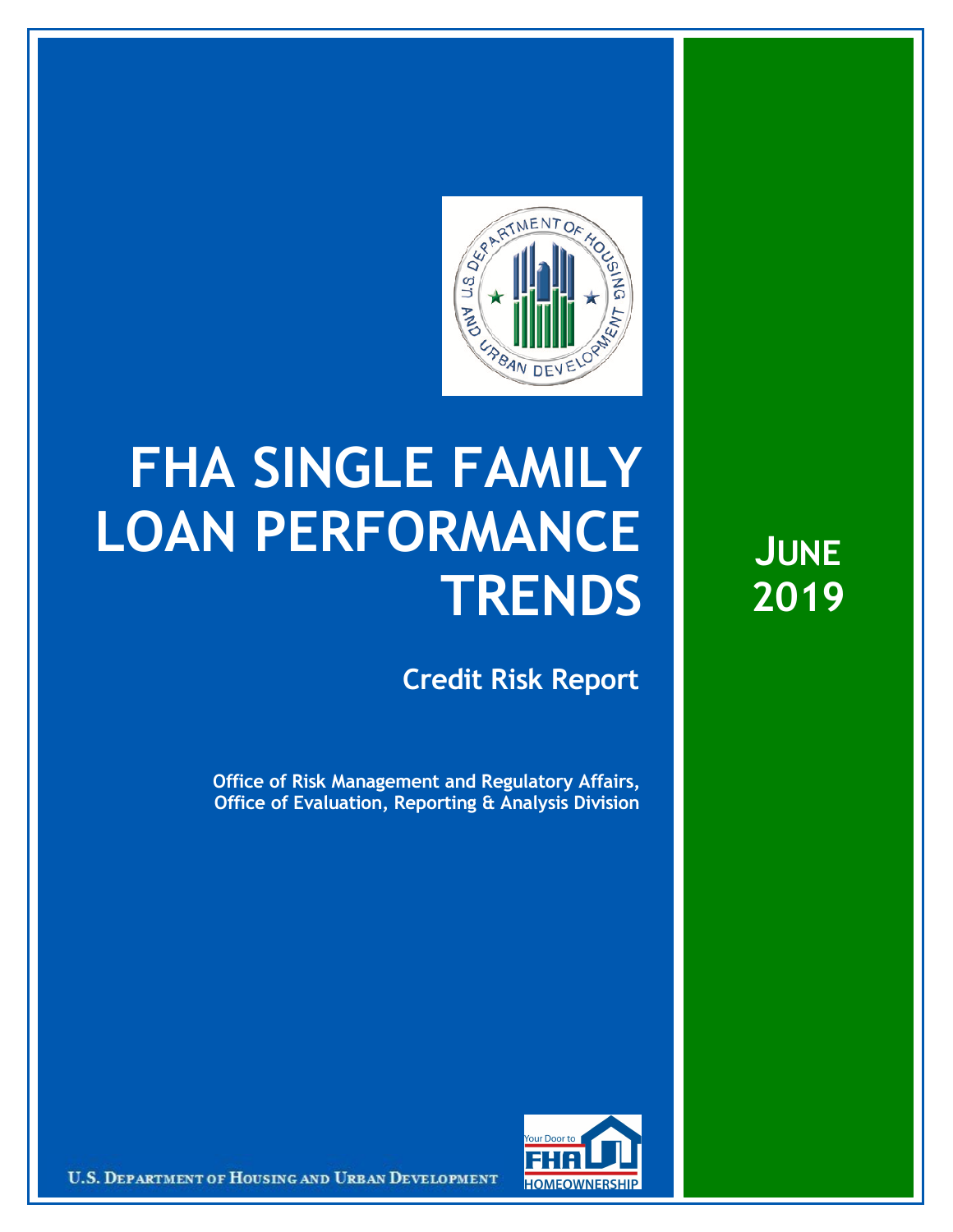

## **FHA SINGLE FAMILY LOAN PERFORMANCE TRENDS**

**Credit Risk Report**

**Office of Risk Management and Regulatory Affairs, Office of Evaluation, Reporting & Analysis Division**

**JUNE 2019**



U.S. DEPARTMENT OF HOUSING AND URBAN DEVELOPMENT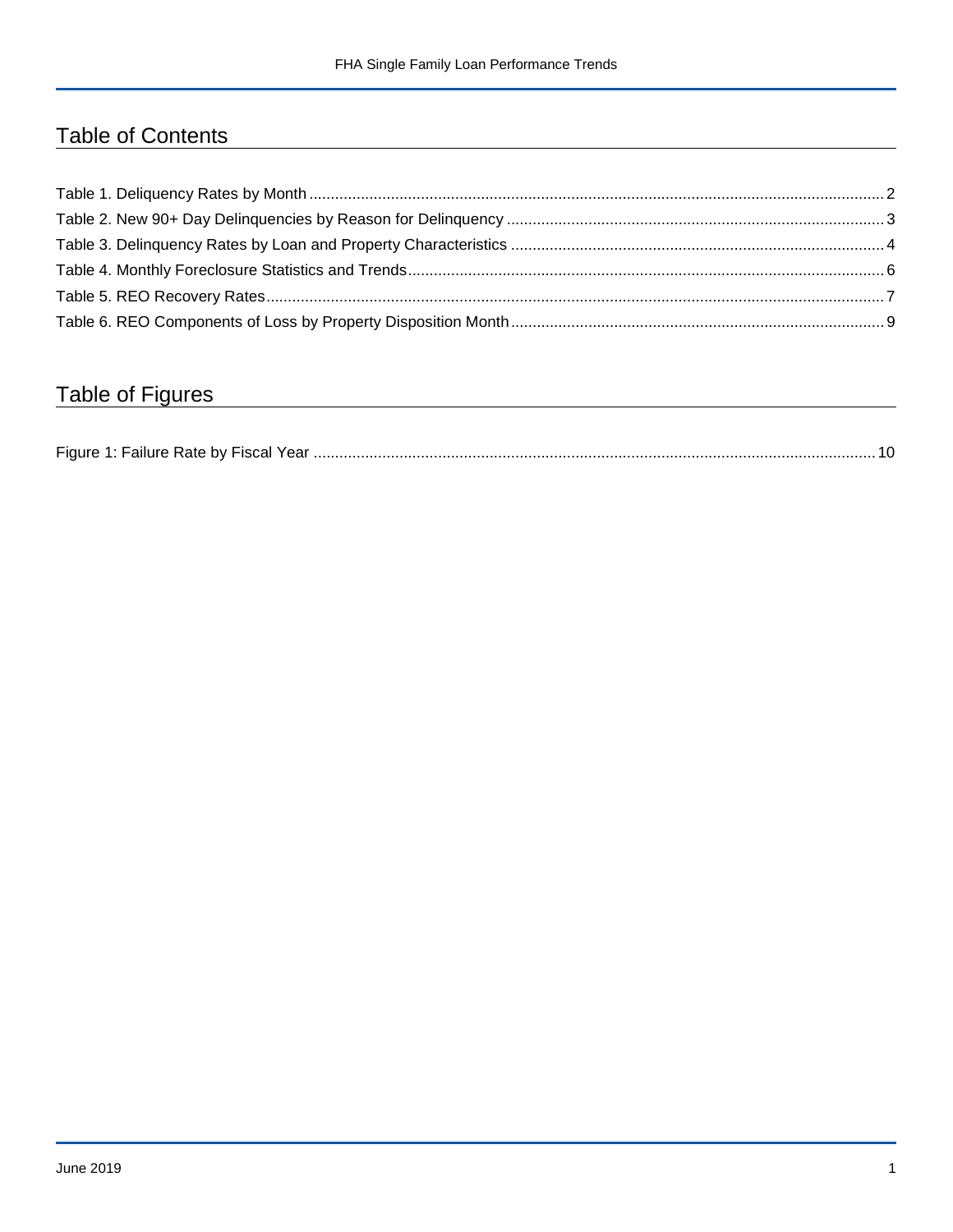## Table of Contents

## Table of Figures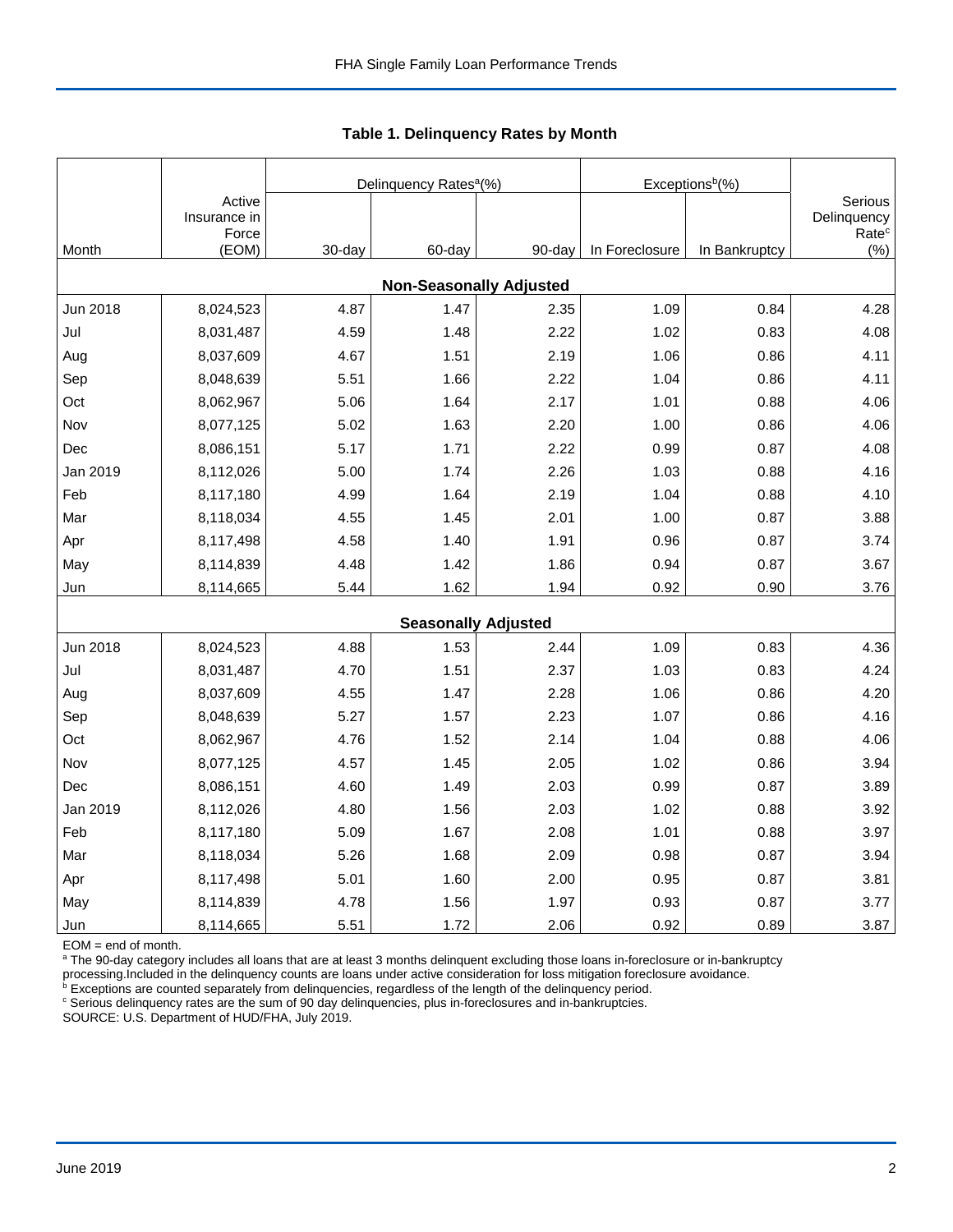|                                |                                 |        | Delinquency Rates <sup>a</sup> (%) |        | Exceptions <sup>b</sup> (%) |               |                                             |  |  |  |  |
|--------------------------------|---------------------------------|--------|------------------------------------|--------|-----------------------------|---------------|---------------------------------------------|--|--|--|--|
|                                | Active<br>Insurance in<br>Force |        |                                    |        |                             |               | Serious<br>Delinquency<br>Rate <sup>c</sup> |  |  |  |  |
| Month                          | (EOM)                           | 30-day | 60-day                             | 90-day | In Foreclosure              | In Bankruptcy | $(\% )$                                     |  |  |  |  |
| <b>Non-Seasonally Adjusted</b> |                                 |        |                                    |        |                             |               |                                             |  |  |  |  |
| Jun 2018                       | 8,024,523                       | 4.87   | 1.47                               | 2.35   | 1.09                        | 0.84          | 4.28                                        |  |  |  |  |
| Jul                            | 8,031,487                       | 4.59   | 1.48                               | 2.22   | 1.02                        | 0.83          | 4.08                                        |  |  |  |  |
| Aug                            | 8,037,609                       | 4.67   | 1.51                               | 2.19   | 1.06                        | 0.86          | 4.11                                        |  |  |  |  |
| Sep                            | 8,048,639                       | 5.51   | 1.66                               | 2.22   | 1.04                        | 0.86          | 4.11                                        |  |  |  |  |
| Oct                            | 8,062,967                       | 5.06   | 1.64                               | 2.17   | 1.01                        | 0.88          | 4.06                                        |  |  |  |  |
| Nov                            | 8,077,125                       | 5.02   | 1.63                               | 2.20   | 1.00                        | 0.86          | 4.06                                        |  |  |  |  |
| Dec                            | 8,086,151                       | 5.17   | 1.71                               | 2.22   | 0.99                        | 0.87          | 4.08                                        |  |  |  |  |
| Jan 2019                       | 8,112,026                       | 5.00   | 1.74                               | 2.26   | 1.03                        | 0.88          | 4.16                                        |  |  |  |  |
| Feb                            | 8,117,180                       | 4.99   | 1.64                               | 2.19   | 1.04                        | 0.88          | 4.10                                        |  |  |  |  |
| Mar                            | 8,118,034                       | 4.55   | 1.45                               | 2.01   | 1.00                        | 0.87          | 3.88                                        |  |  |  |  |
| Apr                            | 8,117,498                       | 4.58   | 1.40                               | 1.91   | 0.96                        | 0.87          | 3.74                                        |  |  |  |  |
| May                            | 8,114,839                       | 4.48   | 1.42                               | 1.86   | 0.94                        | 0.87          | 3.67                                        |  |  |  |  |
| Jun                            | 8,114,665                       | 5.44   | 1.62                               | 1.94   | 0.92                        | 0.90          | 3.76                                        |  |  |  |  |
|                                |                                 |        | <b>Seasonally Adjusted</b>         |        |                             |               |                                             |  |  |  |  |
| Jun 2018                       | 8,024,523                       | 4.88   | 1.53                               | 2.44   | 1.09                        | 0.83          | 4.36                                        |  |  |  |  |
| Jul                            | 8,031,487                       | 4.70   | 1.51                               | 2.37   | 1.03                        | 0.83          | 4.24                                        |  |  |  |  |
| Aug                            | 8,037,609                       | 4.55   | 1.47                               | 2.28   | 1.06                        | 0.86          | 4.20                                        |  |  |  |  |
| Sep                            | 8,048,639                       | 5.27   | 1.57                               | 2.23   | 1.07                        | 0.86          | 4.16                                        |  |  |  |  |
| Oct                            | 8,062,967                       | 4.76   | 1.52                               | 2.14   | 1.04                        | 0.88          | 4.06                                        |  |  |  |  |
| Nov                            | 8,077,125                       | 4.57   | 1.45                               | 2.05   | 1.02                        | 0.86          | 3.94                                        |  |  |  |  |
| Dec                            | 8,086,151                       | 4.60   | 1.49                               | 2.03   | 0.99                        | 0.87          | 3.89                                        |  |  |  |  |
| Jan 2019                       | 8,112,026                       | 4.80   | 1.56                               | 2.03   | 1.02                        | 0.88          | 3.92                                        |  |  |  |  |
| Feb                            | 8,117,180                       | 5.09   | 1.67                               | 2.08   | 1.01                        | 0.88          | 3.97                                        |  |  |  |  |
| Mar                            | 8,118,034                       | 5.26   | 1.68                               | 2.09   | 0.98                        | 0.87          | 3.94                                        |  |  |  |  |
| Apr                            | 8,117,498                       | 5.01   | 1.60                               | 2.00   | 0.95                        | 0.87          | 3.81                                        |  |  |  |  |
| May                            | 8,114,839                       | 4.78   | 1.56                               | 1.97   | 0.93                        | 0.87          | 3.77                                        |  |  |  |  |
| Jun                            | 8,114,665                       | 5.51   | 1.72                               | 2.06   | 0.92                        | 0.89          | 3.87                                        |  |  |  |  |

 **Table 1. Delinquency Rates by Month**

EOM = end of month.

<sup>a</sup> The 90-day category includes all loans that are at least 3 months delinquent excluding those loans in-foreclosure or in-bankruptcy

processing.Included in the delinquency counts are loans under active consideration for loss mitigation foreclosure avoidance.<br><sup>b</sup> Exceptions are counted separately from delinquencies, regardless of the length of the delinq

<sup>c</sup> Serious delinquency rates are the sum of 90 day delinquencies, plus in-foreclosures and in-bankruptcies.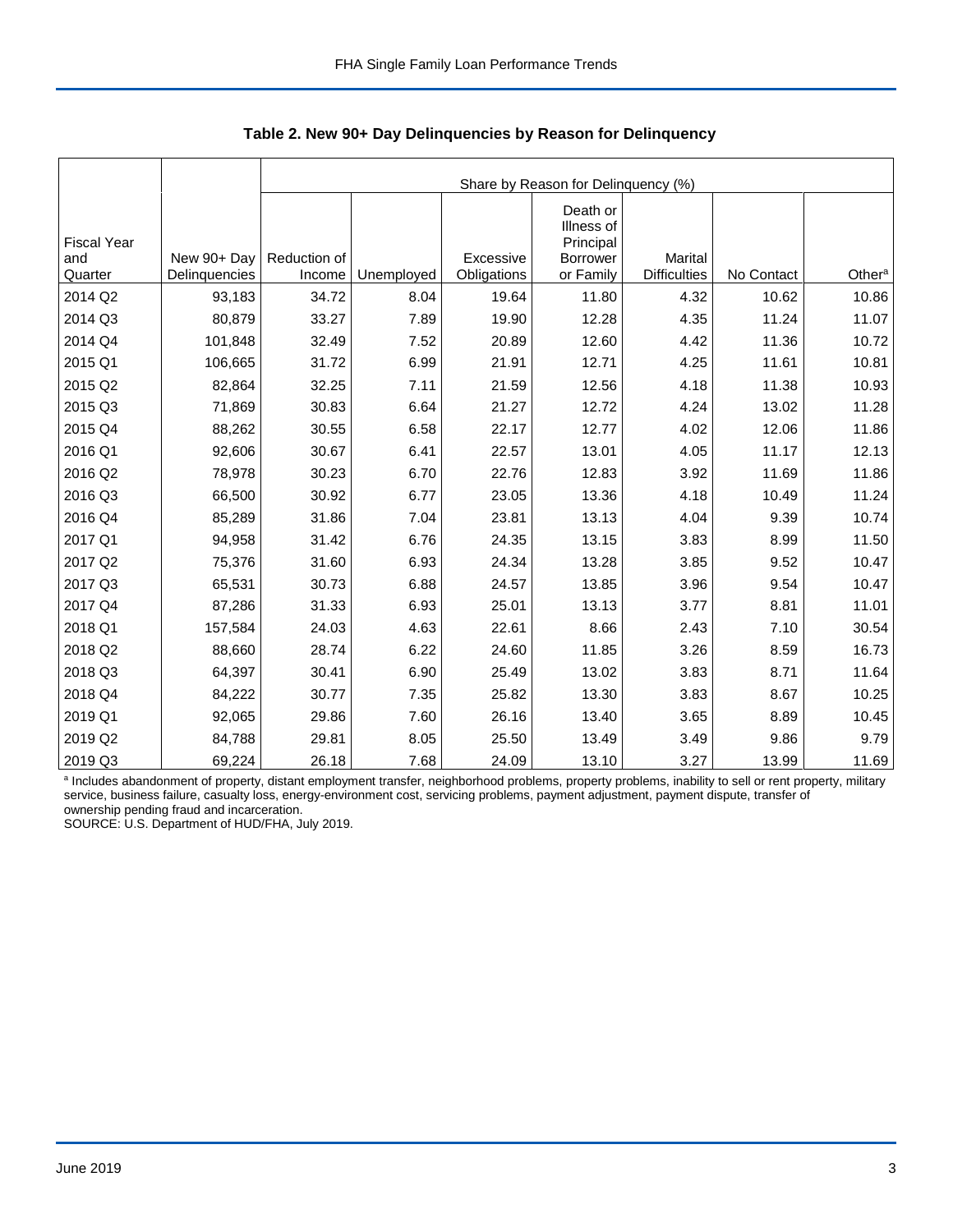|                                      |                              |                        |            |                          | Share by Reason for Delinquency (%)                          |                                       |            |                    |  |  |  |
|--------------------------------------|------------------------------|------------------------|------------|--------------------------|--------------------------------------------------------------|---------------------------------------|------------|--------------------|--|--|--|
| <b>Fiscal Year</b><br>and<br>Quarter | New 90+ Day<br>Delinquencies | Reduction of<br>Income | Unemployed | Excessive<br>Obligations | Death or<br>Illness of<br>Principal<br>Borrower<br>or Family | <b>Marital</b><br><b>Difficulties</b> | No Contact | Other <sup>a</sup> |  |  |  |
| 2014 Q2                              | 93,183                       | 34.72                  | 8.04       | 19.64                    | 11.80                                                        | 4.32                                  | 10.62      | 10.86              |  |  |  |
| 2014 Q3                              | 80,879                       | 33.27                  | 7.89       | 19.90                    | 12.28                                                        | 4.35                                  | 11.24      | 11.07              |  |  |  |
| 2014 Q4                              | 101,848                      | 32.49                  | 7.52       | 20.89                    | 12.60                                                        | 4.42                                  | 11.36      | 10.72              |  |  |  |
| 2015 Q1                              | 106,665                      | 31.72                  | 6.99       | 21.91                    | 12.71                                                        | 4.25                                  | 11.61      | 10.81              |  |  |  |
| 2015 Q2                              | 82,864                       | 32.25                  | 7.11       | 21.59                    | 12.56                                                        | 4.18                                  | 11.38      | 10.93              |  |  |  |
| 2015 Q3                              | 71,869                       | 30.83                  | 6.64       | 21.27                    | 12.72                                                        | 4.24                                  | 13.02      | 11.28              |  |  |  |
| 2015 Q4                              | 88,262                       | 30.55                  | 6.58       | 22.17                    | 12.77                                                        | 4.02                                  | 12.06      | 11.86              |  |  |  |
| 2016 Q1                              | 92,606                       | 30.67                  | 6.41       | 22.57                    | 13.01                                                        | 4.05                                  | 11.17      | 12.13              |  |  |  |
| 2016 Q2                              | 78,978                       | 30.23                  | 6.70       | 22.76                    | 12.83                                                        | 3.92                                  | 11.69      | 11.86              |  |  |  |
| 2016 Q3                              | 66,500                       | 30.92                  | 6.77       | 23.05                    | 13.36                                                        | 4.18                                  | 10.49      | 11.24              |  |  |  |
| 2016 Q4                              | 85,289                       | 31.86                  | 7.04       | 23.81                    | 13.13                                                        | 4.04                                  | 9.39       | 10.74              |  |  |  |
| 2017 Q1                              | 94,958                       | 31.42                  | 6.76       | 24.35                    | 13.15                                                        | 3.83                                  | 8.99       | 11.50              |  |  |  |
| 2017 Q2                              | 75,376                       | 31.60                  | 6.93       | 24.34                    | 13.28                                                        | 3.85                                  | 9.52       | 10.47              |  |  |  |
| 2017 Q3                              | 65,531                       | 30.73                  | 6.88       | 24.57                    | 13.85                                                        | 3.96                                  | 9.54       | 10.47              |  |  |  |
| 2017 Q4                              | 87,286                       | 31.33                  | 6.93       | 25.01                    | 13.13                                                        | 3.77                                  | 8.81       | 11.01              |  |  |  |
| 2018 Q1                              | 157,584                      | 24.03                  | 4.63       | 22.61                    | 8.66                                                         | 2.43                                  | 7.10       | 30.54              |  |  |  |
| 2018 Q2                              | 88,660                       | 28.74                  | 6.22       | 24.60                    | 11.85                                                        | 3.26                                  | 8.59       | 16.73              |  |  |  |
| 2018 Q3                              | 64,397                       | 30.41                  | 6.90       | 25.49                    | 13.02                                                        | 3.83                                  | 8.71       | 11.64              |  |  |  |
| 2018 Q4                              | 84,222                       | 30.77                  | 7.35       | 25.82                    | 13.30                                                        | 3.83                                  | 8.67       | 10.25              |  |  |  |
| 2019 Q1                              | 92,065                       | 29.86                  | 7.60       | 26.16                    | 13.40                                                        | 3.65                                  | 8.89       | 10.45              |  |  |  |
| 2019 Q2                              | 84,788                       | 29.81                  | 8.05       | 25.50                    | 13.49                                                        | 3.49                                  | 9.86       | 9.79               |  |  |  |
| 2019 Q3                              | 69,224                       | 26.18                  | 7.68       | 24.09                    | 13.10                                                        | 3.27                                  | 13.99      | 11.69              |  |  |  |

 **Table 2. New 90+ Day Delinquencies by Reason for Delinquency**

a Includes abandonment of property, distant employment transfer, neighborhood problems, property problems, inability to sell or rent property, military service, business failure, casualty loss, energy-environment cost, servicing problems, payment adjustment, payment dispute, transfer of ownership pending fraud and incarceration.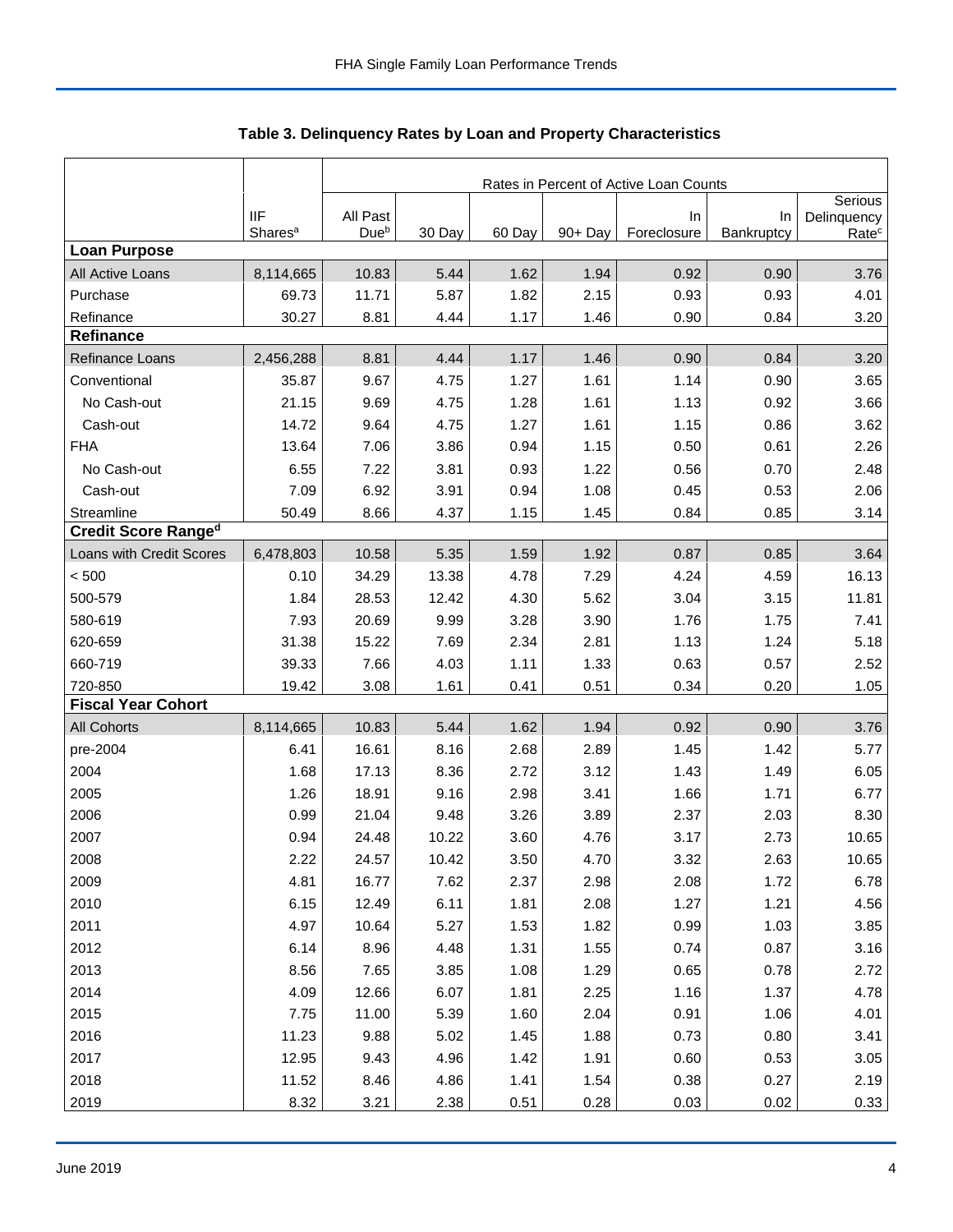|                            |                     | Rates in Percent of Active Loan Counts |        |        |         |             |            |                        |  |
|----------------------------|---------------------|----------------------------------------|--------|--------|---------|-------------|------------|------------------------|--|
|                            | <b>IIF</b>          | All Past                               |        |        |         | In          | In         | Serious<br>Delinquency |  |
|                            | Shares <sup>a</sup> | Dueb                                   | 30 Day | 60 Day | 90+ Day | Foreclosure | Bankruptcy | Rate <sup>c</sup>      |  |
| <b>Loan Purpose</b>        |                     |                                        |        |        |         |             |            |                        |  |
| All Active Loans           | 8,114,665           | 10.83                                  | 5.44   | 1.62   | 1.94    | 0.92        | 0.90       | 3.76                   |  |
| Purchase                   | 69.73               | 11.71                                  | 5.87   | 1.82   | 2.15    | 0.93        | 0.93       | 4.01                   |  |
| Refinance<br>Refinance     | 30.27               | 8.81                                   | 4.44   | 1.17   | 1.46    | 0.90        | 0.84       | 3.20                   |  |
| Refinance Loans            | 2,456,288           | 8.81                                   | 4.44   | 1.17   | 1.46    | 0.90        | 0.84       | 3.20                   |  |
| Conventional               | 35.87               | 9.67                                   | 4.75   | 1.27   | 1.61    | 1.14        | 0.90       | 3.65                   |  |
| No Cash-out                | 21.15               | 9.69                                   | 4.75   | 1.28   | 1.61    | 1.13        | 0.92       | 3.66                   |  |
|                            | 14.72               | 9.64                                   | 4.75   | 1.27   | 1.61    |             |            | 3.62                   |  |
| Cash-out                   |                     |                                        |        |        |         | 1.15        | 0.86       |                        |  |
| <b>FHA</b>                 | 13.64               | 7.06                                   | 3.86   | 0.94   | 1.15    | 0.50        | 0.61       | 2.26                   |  |
| No Cash-out                | 6.55                | 7.22                                   | 3.81   | 0.93   | 1.22    | 0.56        | 0.70       | 2.48                   |  |
| Cash-out                   | 7.09                | 6.92                                   | 3.91   | 0.94   | 1.08    | 0.45        | 0.53       | 2.06                   |  |
| Streamline                 | 50.49               | 8.66                                   | 4.37   | 1.15   | 1.45    | 0.84        | 0.85       | 3.14                   |  |
| <b>Credit Score Ranged</b> |                     |                                        |        |        |         |             |            |                        |  |
| Loans with Credit Scores   | 6,478,803           | 10.58                                  | 5.35   | 1.59   | 1.92    | 0.87        | 0.85       | 3.64                   |  |
| < 500                      | 0.10                | 34.29                                  | 13.38  | 4.78   | 7.29    | 4.24        | 4.59       | 16.13                  |  |
| 500-579                    | 1.84                | 28.53                                  | 12.42  | 4.30   | 5.62    | 3.04        | 3.15       | 11.81                  |  |
| 580-619                    | 7.93                | 20.69                                  | 9.99   | 3.28   | 3.90    | 1.76        | 1.75       | 7.41                   |  |
| 620-659                    | 31.38               | 15.22                                  | 7.69   | 2.34   | 2.81    | 1.13        | 1.24       | 5.18                   |  |
| 660-719                    | 39.33               | 7.66                                   | 4.03   | 1.11   | 1.33    | 0.63        | 0.57       | 2.52                   |  |
| 720-850                    | 19.42               | 3.08                                   | 1.61   | 0.41   | 0.51    | 0.34        | 0.20       | 1.05                   |  |
| <b>Fiscal Year Cohort</b>  |                     |                                        |        |        |         |             |            |                        |  |
| <b>All Cohorts</b>         | 8,114,665           | 10.83                                  | 5.44   | 1.62   | 1.94    | 0.92        | 0.90       | 3.76                   |  |
| pre-2004                   | 6.41                | 16.61                                  | 8.16   | 2.68   | 2.89    | 1.45        | 1.42       | 5.77                   |  |
| 2004                       | 1.68                | 17.13                                  | 8.36   | 2.72   | 3.12    | 1.43        | 1.49       | 6.05                   |  |
| 2005                       | 1.26                | 18.91                                  | 9.16   | 2.98   | 3.41    | 1.66        | 1.71       | 6.77                   |  |
| 2006                       | 0.99                | 21.04                                  | 9.48   | 3.26   | 3.89    | 2.37        | 2.03       | 8.30                   |  |
| 2007                       | 0.94                | 24.48                                  | 10.22  | 3.60   | 4.76    | 3.17        | 2.73       | 10.65                  |  |
| 2008                       | 2.22                | 24.57                                  | 10.42  | 3.50   | 4.70    | 3.32        | 2.63       | 10.65                  |  |
| 2009                       | 4.81                | 16.77                                  | 7.62   | 2.37   | 2.98    | 2.08        | 1.72       | 6.78                   |  |
| 2010                       | 6.15                | 12.49                                  | 6.11   | 1.81   | 2.08    | 1.27        | 1.21       | 4.56                   |  |
| 2011                       | 4.97                | 10.64                                  | 5.27   | 1.53   | 1.82    | 0.99        | 1.03       | 3.85                   |  |
| 2012                       | 6.14                | 8.96                                   | 4.48   | 1.31   | 1.55    | 0.74        | 0.87       | 3.16                   |  |
| 2013                       | 8.56                | 7.65                                   | 3.85   | 1.08   | 1.29    | 0.65        | 0.78       | 2.72                   |  |
| 2014                       | 4.09                | 12.66                                  | 6.07   | 1.81   | 2.25    | 1.16        | 1.37       | 4.78                   |  |
| 2015                       | 7.75                | 11.00                                  | 5.39   | 1.60   | 2.04    | 0.91        | 1.06       | 4.01                   |  |
| 2016                       | 11.23               | 9.88                                   | 5.02   | 1.45   | 1.88    | 0.73        | 0.80       | 3.41                   |  |
| 2017                       | 12.95               | 9.43                                   | 4.96   | 1.42   | 1.91    | 0.60        | 0.53       | 3.05                   |  |
| 2018                       | 11.52               | 8.46                                   | 4.86   | 1.41   | 1.54    | 0.38        | 0.27       | 2.19                   |  |
| 2019                       | 8.32                | 3.21                                   | 2.38   | 0.51   | 0.28    | 0.03        | 0.02       | 0.33                   |  |

Table 3. Delinquency Rates by Loan and Property Characteristics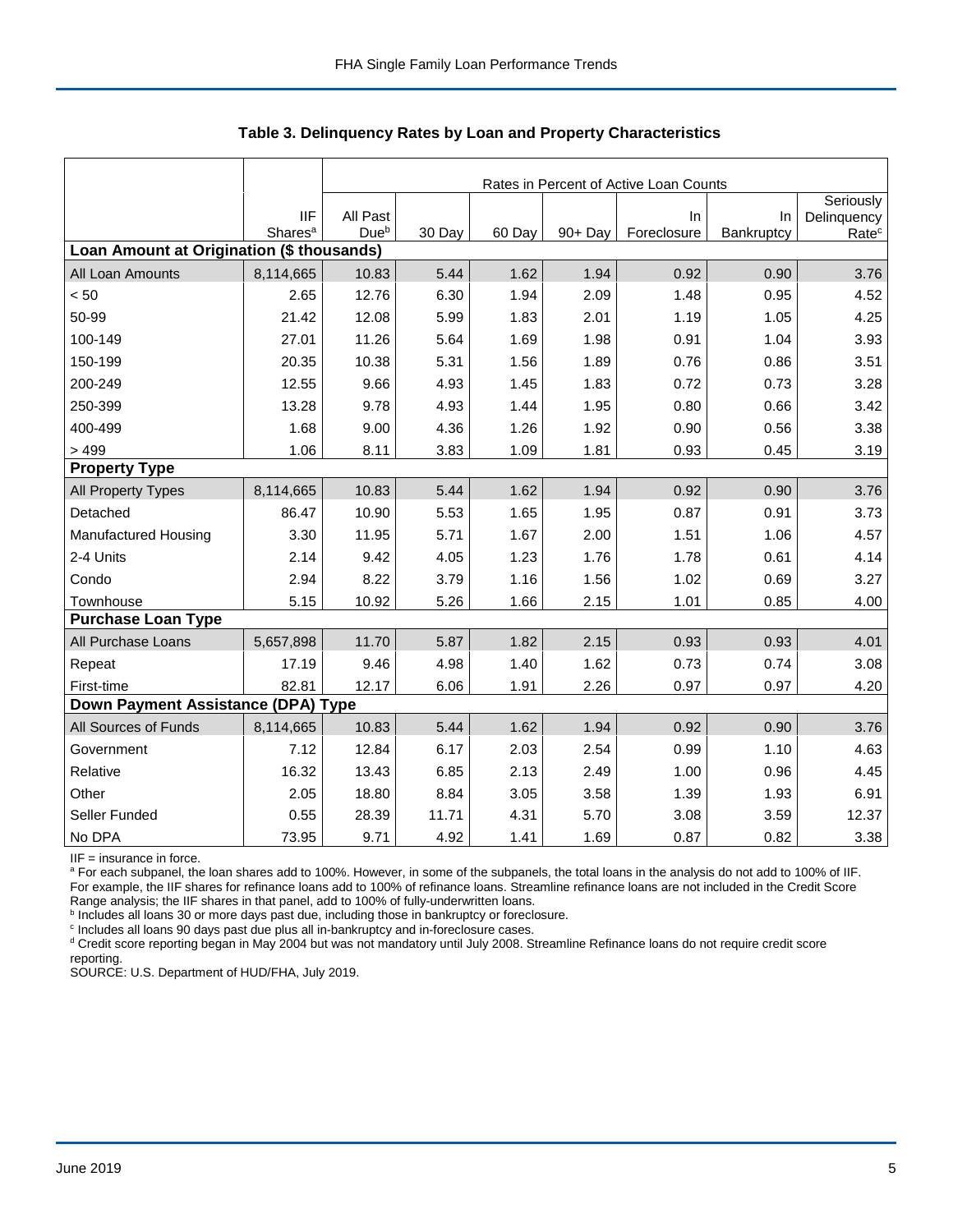|                                           |                     | Rates in Percent of Active Loan Counts |        |        |         |             |            |                          |  |  |
|-------------------------------------------|---------------------|----------------------------------------|--------|--------|---------|-------------|------------|--------------------------|--|--|
|                                           | <b>IIF</b>          | All Past                               |        |        |         | In          | In         | Seriously<br>Delinquency |  |  |
|                                           | Shares <sup>a</sup> | Due <sup>b</sup>                       | 30 Day | 60 Day | 90+ Day | Foreclosure | Bankruptcy | Rate <sup>c</sup>        |  |  |
| Loan Amount at Origination (\$ thousands) |                     |                                        |        |        |         |             |            |                          |  |  |
| All Loan Amounts                          | 8,114,665           | 10.83                                  | 5.44   | 1.62   | 1.94    | 0.92        | 0.90       | 3.76                     |  |  |
| < 50                                      | 2.65                | 12.76                                  | 6.30   | 1.94   | 2.09    | 1.48        | 0.95       | 4.52                     |  |  |
| 50-99                                     | 21.42               | 12.08                                  | 5.99   | 1.83   | 2.01    | 1.19        | 1.05       | 4.25                     |  |  |
| 100-149                                   | 27.01               | 11.26                                  | 5.64   | 1.69   | 1.98    | 0.91        | 1.04       | 3.93                     |  |  |
| 150-199                                   | 20.35               | 10.38                                  | 5.31   | 1.56   | 1.89    | 0.76        | 0.86       | 3.51                     |  |  |
| 200-249                                   | 12.55               | 9.66                                   | 4.93   | 1.45   | 1.83    | 0.72        | 0.73       | 3.28                     |  |  |
| 250-399                                   | 13.28               | 9.78                                   | 4.93   | 1.44   | 1.95    | 0.80        | 0.66       | 3.42                     |  |  |
| 400-499                                   | 1.68                | 9.00                                   | 4.36   | 1.26   | 1.92    | 0.90        | 0.56       | 3.38                     |  |  |
| > 499                                     | 1.06                | 8.11                                   | 3.83   | 1.09   | 1.81    | 0.93        | 0.45       | 3.19                     |  |  |
| <b>Property Type</b>                      |                     |                                        |        |        |         |             |            |                          |  |  |
| All Property Types                        | 8,114,665           | 10.83                                  | 5.44   | 1.62   | 1.94    | 0.92        | 0.90       | 3.76                     |  |  |
| Detached                                  | 86.47               | 10.90                                  | 5.53   | 1.65   | 1.95    | 0.87        | 0.91       | 3.73                     |  |  |
| Manufactured Housing                      | 3.30                | 11.95                                  | 5.71   | 1.67   | 2.00    | 1.51        | 1.06       | 4.57                     |  |  |
| 2-4 Units                                 | 2.14                | 9.42                                   | 4.05   | 1.23   | 1.76    | 1.78        | 0.61       | 4.14                     |  |  |
| Condo                                     | 2.94                | 8.22                                   | 3.79   | 1.16   | 1.56    | 1.02        | 0.69       | 3.27                     |  |  |
| Townhouse                                 | 5.15                | 10.92                                  | 5.26   | 1.66   | 2.15    | 1.01        | 0.85       | 4.00                     |  |  |
| <b>Purchase Loan Type</b>                 |                     |                                        |        |        |         |             |            |                          |  |  |
| All Purchase Loans                        | 5,657,898           | 11.70                                  | 5.87   | 1.82   | 2.15    | 0.93        | 0.93       | 4.01                     |  |  |
| Repeat                                    | 17.19               | 9.46                                   | 4.98   | 1.40   | 1.62    | 0.73        | 0.74       | 3.08                     |  |  |
| First-time                                | 82.81               | 12.17                                  | 6.06   | 1.91   | 2.26    | 0.97        | 0.97       | 4.20                     |  |  |
| Down Payment Assistance (DPA) Type        |                     |                                        |        |        |         |             |            |                          |  |  |
| All Sources of Funds                      | 8,114,665           | 10.83                                  | 5.44   | 1.62   | 1.94    | 0.92        | 0.90       | 3.76                     |  |  |
| Government                                | 7.12                | 12.84                                  | 6.17   | 2.03   | 2.54    | 0.99        | 1.10       | 4.63                     |  |  |
| Relative                                  | 16.32               | 13.43                                  | 6.85   | 2.13   | 2.49    | 1.00        | 0.96       | 4.45                     |  |  |
| Other                                     | 2.05                | 18.80                                  | 8.84   | 3.05   | 3.58    | 1.39        | 1.93       | 6.91                     |  |  |
| Seller Funded                             | 0.55                | 28.39                                  | 11.71  | 4.31   | 5.70    | 3.08        | 3.59       | 12.37                    |  |  |
| No DPA                                    | 73.95               | 9.71                                   | 4.92   | 1.41   | 1.69    | 0.87        | 0.82       | 3.38                     |  |  |

 **Table 3. Delinquency Rates by Loan and Property Characteristics**

IIF = insurance in force.

<sup>a</sup> For each subpanel, the loan shares add to 100%. However, in some of the subpanels, the total loans in the analysis do not add to 100% of IIF. For example, the IIF shares for refinance loans add to 100% of refinance loans. Streamline refinance loans are not included in the Credit Score

Range analysis; the IIF shares in that panel, add to 100% of fully-underwritten loans.<br><sup>b</sup> Includes all loans 30 or more days past due, including those in bankruptcy or foreclosure.

<sup>c</sup> Includes all loans 90 days past due plus all in-bankruptcy and in-foreclosure cases.

<sup>d</sup> Credit score reporting began in May 2004 but was not mandatory until July 2008. Streamline Refinance loans do not require credit score reporting.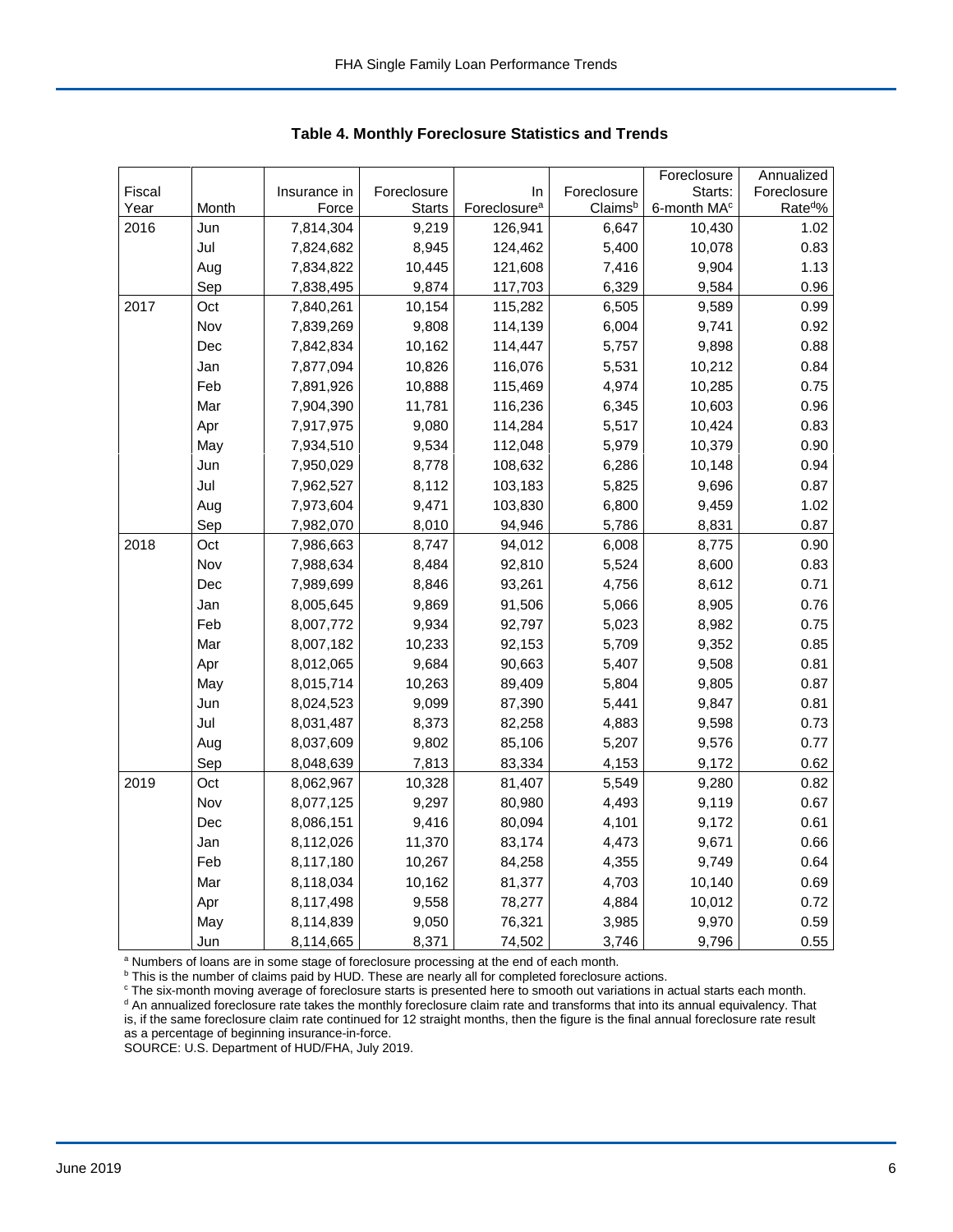|        |       |              |               |                          |             | Foreclosure             | Annualized          |
|--------|-------|--------------|---------------|--------------------------|-------------|-------------------------|---------------------|
| Fiscal |       | Insurance in | Foreclosure   | In                       | Foreclosure | Starts:                 | Foreclosure         |
| Year   | Month | Force        | <b>Starts</b> | Foreclosure <sup>a</sup> | Claimsb     | 6-month MA <sup>c</sup> | Rate <sup>d</sup> % |
| 2016   | Jun   | 7,814,304    | 9,219         | 126,941                  | 6,647       | 10,430                  | 1.02                |
|        | Jul   | 7,824,682    | 8,945         | 124,462                  | 5,400       | 10,078                  | 0.83                |
|        | Aug   | 7,834,822    | 10,445        | 121,608                  | 7,416       | 9,904                   | 1.13                |
|        | Sep   | 7,838,495    | 9,874         | 117,703                  | 6,329       | 9,584                   | 0.96                |
| 2017   | Oct   | 7,840,261    | 10,154        | 115,282                  | 6,505       | 9,589                   | 0.99                |
|        | Nov   | 7,839,269    | 9,808         | 114,139                  | 6,004       | 9,741                   | 0.92                |
|        | Dec   | 7,842,834    | 10,162        | 114,447                  | 5,757       | 9,898                   | 0.88                |
|        | Jan   | 7,877,094    | 10,826        | 116,076                  | 5,531       | 10,212                  | 0.84                |
|        | Feb   | 7,891,926    | 10,888        | 115,469                  | 4,974       | 10,285                  | 0.75                |
|        | Mar   | 7,904,390    | 11,781        | 116,236                  | 6,345       | 10,603                  | 0.96                |
|        | Apr   | 7,917,975    | 9,080         | 114,284                  | 5,517       | 10,424                  | 0.83                |
|        | May   | 7,934,510    | 9,534         | 112,048                  | 5,979       | 10,379                  | 0.90                |
|        | Jun   | 7,950,029    | 8,778         | 108,632                  | 6,286       | 10,148                  | 0.94                |
|        | Jul   | 7,962,527    | 8,112         | 103,183                  | 5,825       | 9,696                   | 0.87                |
|        | Aug   | 7,973,604    | 9,471         | 103,830                  | 6,800       | 9,459                   | 1.02                |
|        | Sep   | 7,982,070    | 8,010         | 94,946                   | 5,786       | 8,831                   | 0.87                |
| 2018   | Oct   | 7,986,663    | 8,747         | 94,012                   | 6,008       | 8,775                   | 0.90                |
|        | Nov   | 7,988,634    | 8,484         | 92,810                   | 5,524       | 8,600                   | 0.83                |
|        | Dec   | 7,989,699    | 8,846         | 93,261                   | 4,756       | 8,612                   | 0.71                |
|        | Jan   | 8,005,645    | 9,869         | 91,506                   | 5,066       | 8,905                   | 0.76                |
|        | Feb   | 8,007,772    | 9,934         | 92,797                   | 5,023       | 8,982                   | 0.75                |
|        | Mar   | 8,007,182    | 10,233        | 92,153                   | 5,709       | 9,352                   | 0.85                |
|        | Apr   | 8,012,065    | 9,684         | 90,663                   | 5,407       | 9,508                   | 0.81                |
|        | May   | 8,015,714    | 10,263        | 89,409                   | 5,804       | 9,805                   | 0.87                |
|        | Jun   | 8,024,523    | 9,099         | 87,390                   | 5,441       | 9,847                   | 0.81                |
|        | Jul   | 8,031,487    | 8,373         | 82,258                   | 4,883       | 9,598                   | 0.73                |
|        | Aug   | 8,037,609    | 9,802         | 85,106                   | 5,207       | 9,576                   | 0.77                |
|        | Sep   | 8,048,639    | 7,813         | 83,334                   | 4,153       | 9,172                   | 0.62                |
| 2019   | Oct   | 8,062,967    | 10,328        | 81,407                   | 5,549       | 9,280                   | 0.82                |
|        | Nov   | 8,077,125    | 9,297         | 80,980                   | 4,493       | 9,119                   | 0.67                |
|        | Dec   | 8,086,151    | 9,416         | 80,094                   | 4,101       | 9,172                   | 0.61                |
|        | Jan   | 8,112,026    | 11,370        | 83,174                   | 4,473       | 9,671                   | 0.66                |
|        | Feb   | 8,117,180    | 10,267        | 84,258                   | 4,355       | 9,749                   | 0.64                |
|        | Mar   | 8,118,034    | 10,162        | 81,377                   | 4,703       | 10,140                  | 0.69                |
|        | Apr   | 8,117,498    | 9,558         | 78,277                   | 4,884       | 10,012                  | 0.72                |
|        | May   | 8,114,839    | 9,050         | 76,321                   | 3,985       | 9,970                   | 0.59                |
|        | Jun   | 8,114,665    | 8,371         | 74,502                   | 3,746       | 9,796                   | 0.55                |

 **Table 4. Monthly Foreclosure Statistics and Trends**

<sup>a</sup> Numbers of loans are in some stage of foreclosure processing at the end of each month.

<sup>b</sup> This is the number of claims paid by HUD. These are nearly all for completed foreclosure actions.

<sup>c</sup> The six-month moving average of foreclosure starts is presented here to smooth out variations in actual starts each month. <sup>d</sup> An annualized foreclosure rate takes the monthly foreclosure claim rate and transforms that into its annual equivalency. That is, if the same foreclosure claim rate continued for 12 straight months, then the figure is the final annual foreclosure rate result as a percentage of beginning insurance-in-force.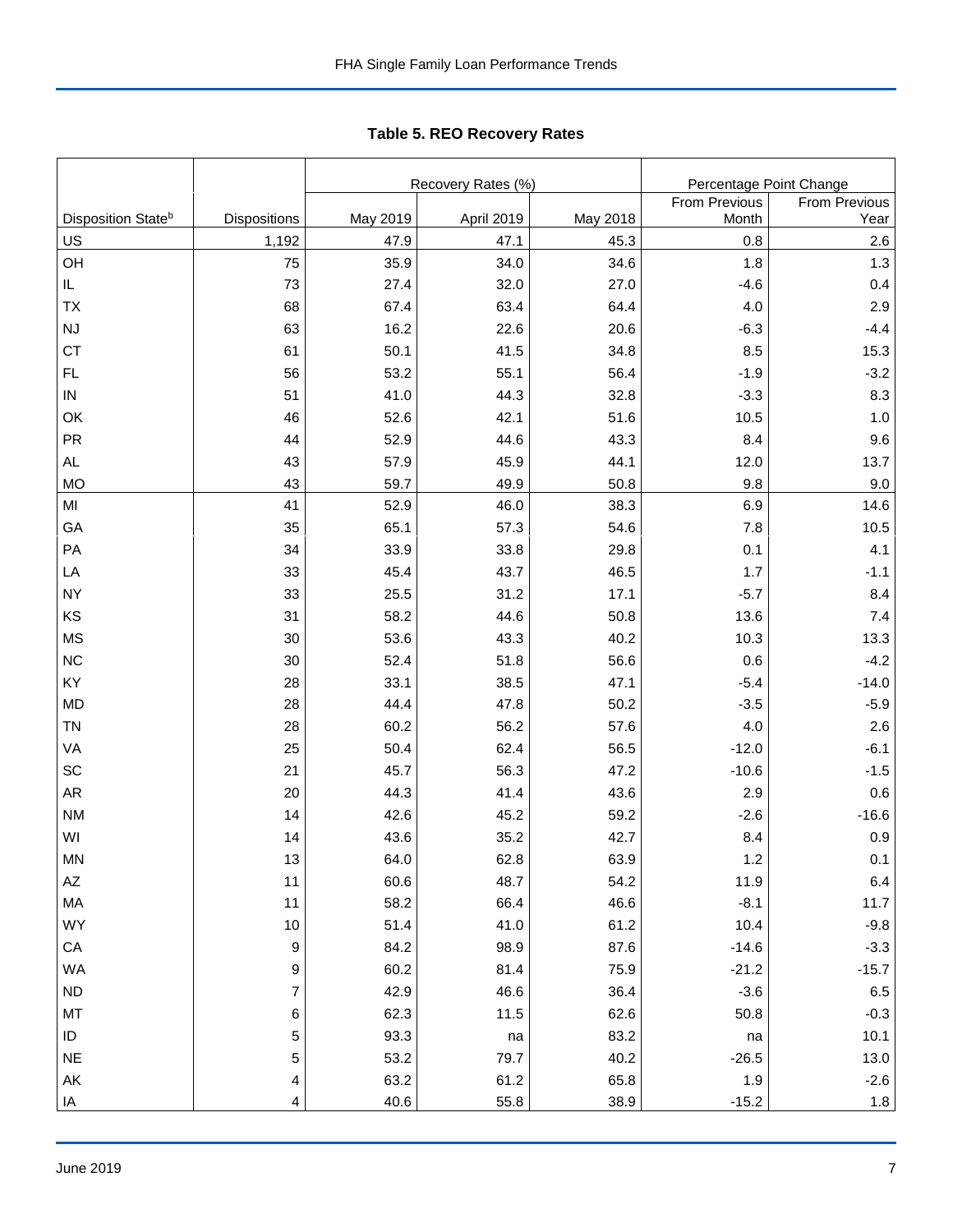|                                |                |          | Recovery Rates (%) | Percentage Point Change |               |               |
|--------------------------------|----------------|----------|--------------------|-------------------------|---------------|---------------|
|                                |                |          |                    |                         | From Previous | From Previous |
| Disposition State <sup>b</sup> | Dispositions   | May 2019 | April 2019         | May 2018                | Month         | Year          |
| US                             | 1,192          | 47.9     | 47.1               | 45.3                    | 0.8           | 2.6           |
| OH                             | 75             | 35.9     | 34.0               | 34.6                    | 1.8           | 1.3           |
| IL.                            | 73             | 27.4     | 32.0               | 27.0                    | $-4.6$        | 0.4           |
| <b>TX</b>                      | 68             | 67.4     | 63.4               | 64.4                    | 4.0           | 2.9           |
| NJ                             | 63             | 16.2     | 22.6               | 20.6                    | $-6.3$        | $-4.4$        |
| <b>CT</b>                      | 61             | 50.1     | 41.5               | 34.8                    | 8.5           | 15.3          |
| FL.                            | 56             | 53.2     | 55.1               | 56.4                    | $-1.9$        | $-3.2$        |
| $\sf IN$                       | 51             | 41.0     | 44.3               | 32.8                    | $-3.3$        | 8.3           |
| OK                             | 46             | 52.6     | 42.1               | 51.6                    | 10.5          | 1.0           |
| PR                             | 44             | 52.9     | 44.6               | 43.3                    | 8.4           | 9.6           |
| $\mathsf{AL}$                  | 43             | 57.9     | 45.9               | 44.1                    | 12.0          | 13.7          |
| <b>MO</b>                      | 43             | 59.7     | 49.9               | 50.8                    | 9.8           | 9.0           |
| MI                             | 41             | 52.9     | 46.0               | 38.3                    | 6.9           | 14.6          |
| GA                             | 35             | 65.1     | 57.3               | 54.6                    | 7.8           | 10.5          |
| PA                             | 34             | 33.9     | 33.8               | 29.8                    | 0.1           | 4.1           |
| LA                             | 33             | 45.4     | 43.7               | 46.5                    | 1.7           | $-1.1$        |
| <b>NY</b>                      | 33             | 25.5     | 31.2               | 17.1                    | $-5.7$        | 8.4           |
| KS                             | 31             | 58.2     | 44.6               | 50.8                    | 13.6          | 7.4           |
| <b>MS</b>                      | 30             | 53.6     | 43.3               | 40.2                    | 10.3          | 13.3          |
| <b>NC</b>                      | 30             | 52.4     | 51.8               | 56.6                    | 0.6           | $-4.2$        |
| KY                             | 28             | 33.1     | 38.5               | 47.1                    | $-5.4$        | $-14.0$       |
| <b>MD</b>                      | 28             | 44.4     | 47.8               | 50.2                    | $-3.5$        | $-5.9$        |
| <b>TN</b>                      | 28             | 60.2     | 56.2               | 57.6                    | 4.0           | 2.6           |
| VA                             | 25             | 50.4     | 62.4               | 56.5                    | $-12.0$       | $-6.1$        |
| SC                             | 21             | 45.7     | 56.3               | 47.2                    | $-10.6$       | $-1.5$        |
| AR                             | 20             | 44.3     | 41.4               | 43.6                    | 2.9           | 0.6           |
| <b>NM</b>                      | 14             | 42.6     | 45.2               | 59.2                    | $-2.6$        | $-16.6$       |
| WI                             | 14             | 43.6     | 35.2               | 42.7                    | 8.4           | 0.9           |
| $\mathsf{MN}$                  | 13             | 64.0     | 62.8               | 63.9                    | $1.2$         | 0.1           |
| AZ                             | 11             | 60.6     | 48.7               | 54.2                    | 11.9          | 6.4           |
| MA                             | 11             | 58.2     | 66.4               | 46.6                    | $-8.1$        | 11.7          |
| WY                             | $10$           | 51.4     | 41.0               | 61.2                    | 10.4          | $-9.8$        |
| ${\sf CA}$                     | 9              | 84.2     | 98.9               | 87.6                    | $-14.6$       | $-3.3$        |
| WA                             | 9              | 60.2     | 81.4               | 75.9                    | $-21.2$       | $-15.7$       |
| ND                             | $\overline{7}$ | 42.9     | 46.6               | 36.4                    | $-3.6$        | 6.5           |
| MT                             | 6              | 62.3     | 11.5               | 62.6                    | 50.8          | $-0.3$        |
| ID                             | 5              | 93.3     | na                 | 83.2                    | na            | 10.1          |
| $\sf NE$                       | 5              | 53.2     | 79.7               | 40.2                    | $-26.5$       | 13.0          |
| AK                             | 4              | 63.2     | 61.2               | 65.8                    | 1.9           | $-2.6$        |
| IA                             | 4              | 40.6     | 55.8               | 38.9                    | $-15.2$       | 1.8           |

Tabl e 5. REO R ecover y R ates **Table 5. REO Recovery Rates**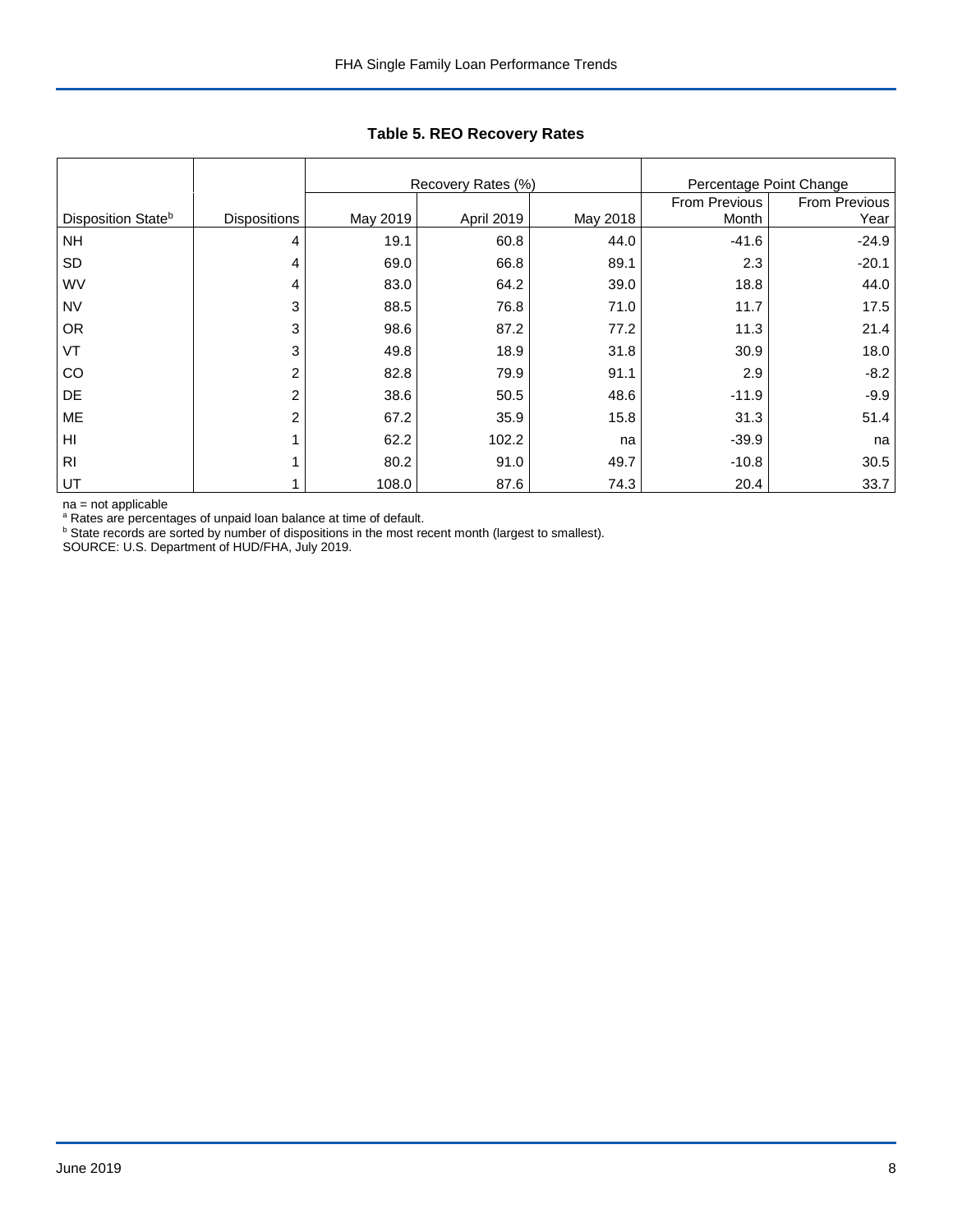|                                |                     |          | Recovery Rates (%) | Percentage Point Change |               |               |
|--------------------------------|---------------------|----------|--------------------|-------------------------|---------------|---------------|
|                                |                     |          |                    |                         | From Previous | From Previous |
| Disposition State <sup>b</sup> | <b>Dispositions</b> | May 2019 | April 2019         | May 2018                | Month         | Year          |
| <b>NH</b>                      | 4                   | 19.1     | 60.8               | 44.0                    | $-41.6$       | $-24.9$       |
| <b>SD</b>                      | 4                   | 69.0     | 66.8               | 89.1                    | 2.3           | $-20.1$       |
| WV                             | 4                   | 83.0     | 64.2               | 39.0                    | 18.8          | 44.0          |
| <b>NV</b>                      | 3                   | 88.5     | 76.8               | 71.0                    | 11.7          | 17.5          |
| 0R                             | 3                   | 98.6     | 87.2               | 77.2                    | 11.3          | 21.4          |
| VT                             | 3                   | 49.8     | 18.9               | 31.8                    | 30.9          | 18.0          |
| CO                             | $\overline{2}$      | 82.8     | 79.9               | 91.1                    | 2.9           | $-8.2$        |
| DE                             | $\overline{2}$      | 38.6     | 50.5               | 48.6                    | $-11.9$       | $-9.9$        |
| ME                             | 2                   | 67.2     | 35.9               | 15.8                    | 31.3          | 51.4          |
| HI                             |                     | 62.2     | 102.2              | na                      | $-39.9$       | na            |
| <b>RI</b>                      |                     | 80.2     | 91.0               | 49.7                    | $-10.8$       | 30.5          |
| UT                             |                     | 108.0    | 87.6               | 74.3                    | 20.4          | 33.7          |

## **Table 5. REO Recovery Rates**

na = not applicable

<sup>a</sup> Rates are percentages of unpaid loan balance at time of default.<br><sup>b</sup> State records are sorted by number of dispositions in the most recent month (largest to smallest).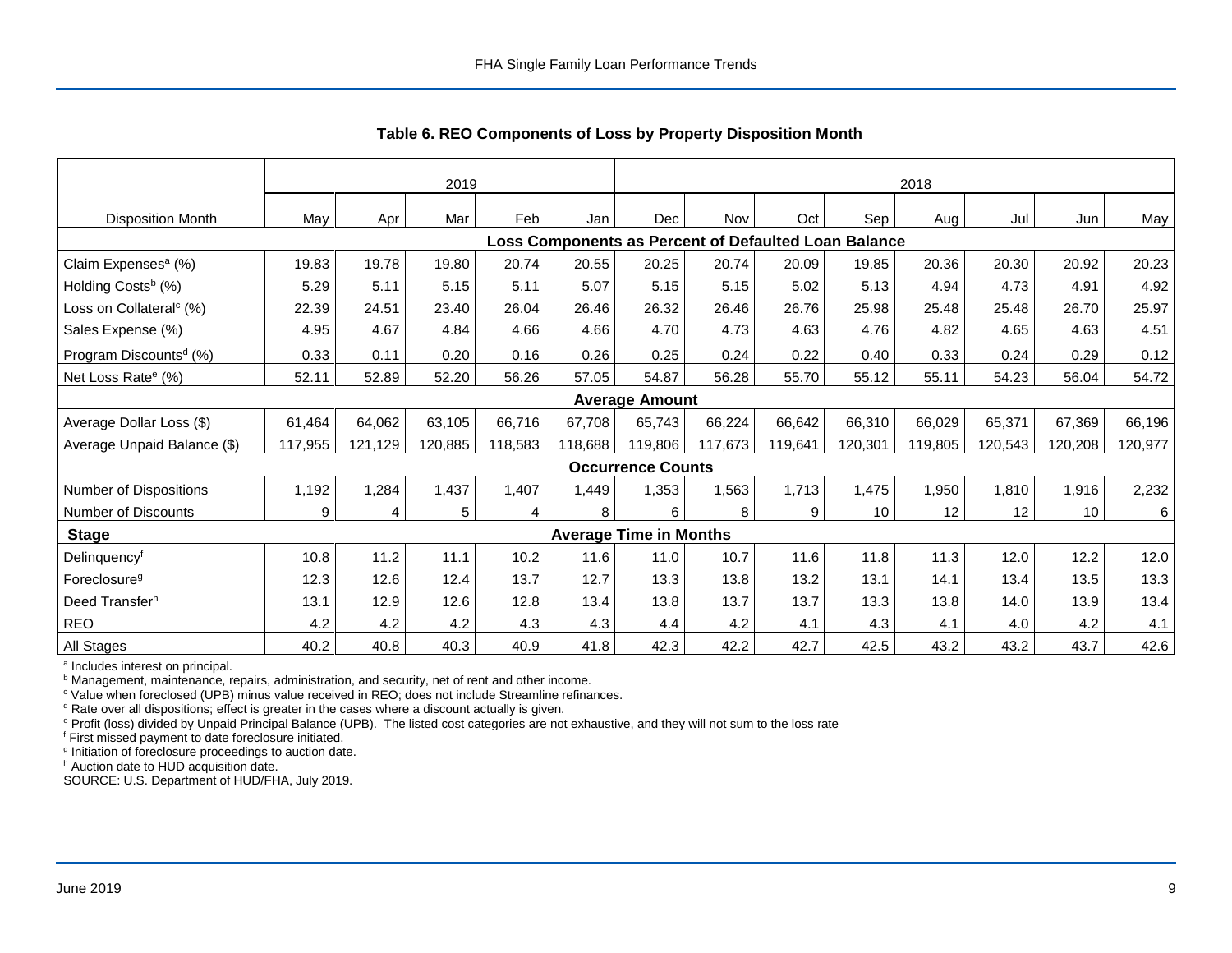|                                     | 2019    |         |         |         | 2018                                                 |                               |         |         |         |         |         |         |         |
|-------------------------------------|---------|---------|---------|---------|------------------------------------------------------|-------------------------------|---------|---------|---------|---------|---------|---------|---------|
| <b>Disposition Month</b>            | May     | Apr     | Mar     | Feb     | Jan                                                  | Dec                           | Nov     | Oct     | Sep     | Aug     | Jul     | Jun     | May     |
|                                     |         |         |         |         | Loss Components as Percent of Defaulted Loan Balance |                               |         |         |         |         |         |         |         |
| Claim Expenses <sup>a</sup> (%)     | 19.83   | 19.78   | 19.80   | 20.74   | 20.55                                                | 20.25                         | 20.74   | 20.09   | 19.85   | 20.36   | 20.30   | 20.92   | 20.23   |
| Holding Costs <sup>b</sup> (%)      | 5.29    | 5.11    | 5.15    | 5.11    | 5.07                                                 | 5.15                          | 5.15    | 5.02    | 5.13    | 4.94    | 4.73    | 4.91    | 4.92    |
| Loss on Collateral <sup>c</sup> (%) | 22.39   | 24.51   | 23.40   | 26.04   | 26.46                                                | 26.32                         | 26.46   | 26.76   | 25.98   | 25.48   | 25.48   | 26.70   | 25.97   |
| Sales Expense (%)                   | 4.95    | 4.67    | 4.84    | 4.66    | 4.66                                                 | 4.70                          | 4.73    | 4.63    | 4.76    | 4.82    | 4.65    | 4.63    | 4.51    |
| Program Discounts <sup>d</sup> (%)  | 0.33    | 0.11    | 0.20    | 0.16    | 0.26                                                 | 0.25                          | 0.24    | 0.22    | 0.40    | 0.33    | 0.24    | 0.29    | 0.12    |
| Net Loss Rate <sup>e</sup> (%)      | 52.11   | 52.89   | 52.20   | 56.26   | 57.05                                                | 54.87                         | 56.28   | 55.70   | 55.12   | 55.11   | 54.23   | 56.04   | 54.72   |
|                                     |         |         |         |         |                                                      | <b>Average Amount</b>         |         |         |         |         |         |         |         |
| Average Dollar Loss (\$)            | 61,464  | 64,062  | 63.105  | 66.716  | 67.708                                               | 65.743                        | 66,224  | 66,642  | 66,310  | 66,029  | 65,371  | 67.369  | 66,196  |
| Average Unpaid Balance (\$)         | 117,955 | 121,129 | 120,885 | 118,583 | 118,688                                              | 119,806                       | 117,673 | 119,641 | 120,301 | 119,805 | 120,543 | 120,208 | 120,977 |
|                                     |         |         |         |         |                                                      | <b>Occurrence Counts</b>      |         |         |         |         |         |         |         |
| Number of Dispositions              | 1,192   | 1,284   | 1,437   | 1,407   | 1,449                                                | 1,353                         | 1,563   | 1,713   | 1,475   | 1,950   | 1,810   | 1,916   | 2,232   |
| Number of Discounts                 | 9       | 4       | 5       |         | 8                                                    | 6                             | 8       | 9       | 10      | 12      | 12      | 10      | 6       |
| <b>Stage</b>                        |         |         |         |         |                                                      | <b>Average Time in Months</b> |         |         |         |         |         |         |         |
| Delinquencyf                        | 10.8    | 11.2    | 11.1    | 10.2    | 11.6                                                 | 11.0                          | 10.7    | 11.6    | 11.8    | 11.3    | 12.0    | 12.2    | 12.0    |
| Foreclosure <sup>g</sup>            | 12.3    | 12.6    | 12.4    | 13.7    | 12.7                                                 | 13.3                          | 13.8    | 13.2    | 13.1    | 14.1    | 13.4    | 13.5    | 13.3    |
| Deed Transferh                      | 13.1    | 12.9    | 12.6    | 12.8    | 13.4                                                 | 13.8                          | 13.7    | 13.7    | 13.3    | 13.8    | 14.0    | 13.9    | 13.4    |
| <b>REO</b>                          | 4.2     | 4.2     | 4.2     | 4.3     | 4.3                                                  | 4.4                           | 4.2     | 4.1     | 4.3     | 4.1     | 4.0     | 4.2     | 4.1     |
| All Stages                          | 40.2    | 40.8    | 40.3    | 40.9    | 41.8                                                 | 42.3                          | 42.2    | 42.7    | 42.5    | 43.2    | 43.2    | 43.7    | 42.6    |

 **Table 6. REO Components of Loss by Property Disposition Month**

<sup>a</sup> Includes interest on principal.

<sup>b</sup> Management, maintenance, repairs, administration, and security, net of rent and other income.

c Value when foreclosed (UPB) minus value received in REO; does not include Streamline refinances.

<sup>d</sup> Rate over all dispositions; effect is greater in the cases where a discount actually is given.

e Profit (loss) divided by Unpaid Principal Balance (UPB). The listed cost categories are not exhaustive, and they will not sum to the loss rate

f First missed payment to date foreclosure initiated.

<sup>g</sup> Initiation of foreclosure proceedings to auction date.

h Auction date to HUD acquisition date.